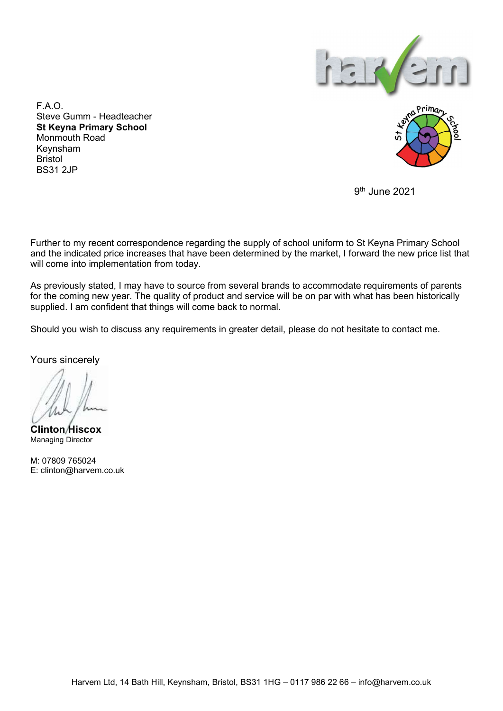

F.A.O. Steve Gumm - Headteacher St Keyna Primary School Monmouth Road Keynsham Bristol BS31 2JP



9th June 2021

Further to my recent correspondence regarding the supply of school uniform to St Keyna Primary School and the indicated price increases that have been determined by the market, I forward the new price list that will come into implementation from today.

As previously stated, I may have to source from several brands to accommodate requirements of parents for the coming new year. The quality of product and service will be on par with what has been historically supplied. I am confident that things will come back to normal.

Should you wish to discuss any requirements in greater detail, please do not hesitate to contact me.

Yours sincerely

Clinton Hiscox Managing Director

M: 07809 765024 E: clinton@harvem.co.uk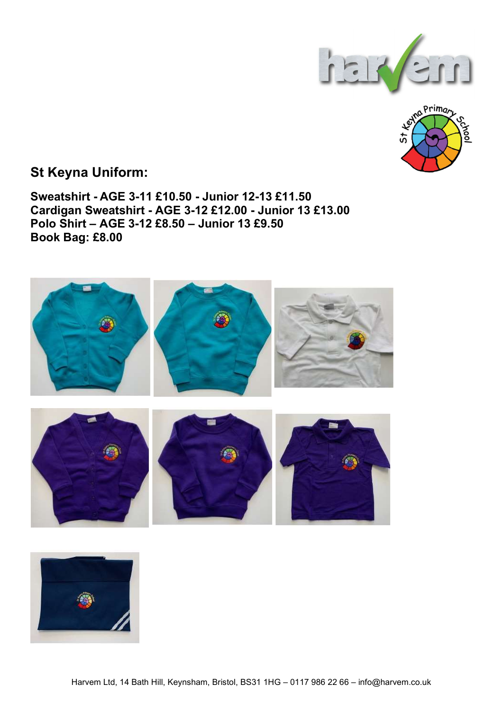



## St Keyna Uniform:

Sweatshirt - AGE 3-11 £10.50 - Junior 12-13 £11.50 Cardigan Sweatshirt - AGE 3-12 £12.00 - Junior 13 £13.00 Polo Shirt – AGE 3-12 £8.50 – Junior 13 £9.50 Book Bag: £8.00